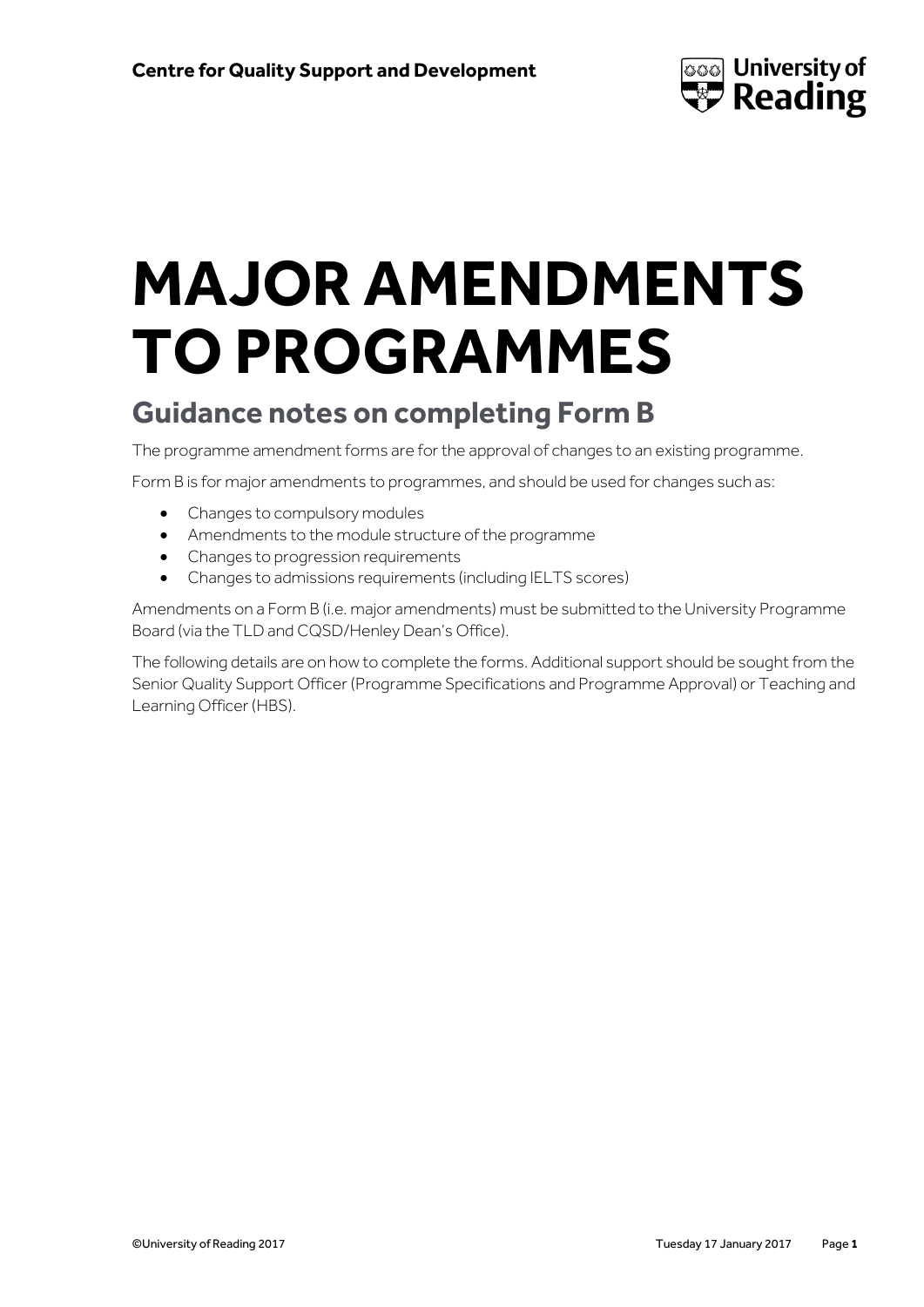

# **MAJOR AMENDMENTS TO PROGRAMMES**

## **Guidance notes on completing Form B**

The programme amendment forms are for the approval of changes to an existing programme.

Form B is for major amendments to programmes, and should be used for changes such as:

- Changes to compulsory modules
- Amendments to the module structure of the programme
- Changes to progression requirements
- Changes to admissions requirements (including IELTS scores)

Amendments on a Form B (i.e. major amendments) must be submitted to the University Programme Board (via the TLD and CQSD/Henley Dean's Office).

The following details are on how to complete the forms. Additional support should be sought from the Senior Quality Support Officer (Programme Specifications and Programme Approval) or Teaching and Learning Officer (HBS).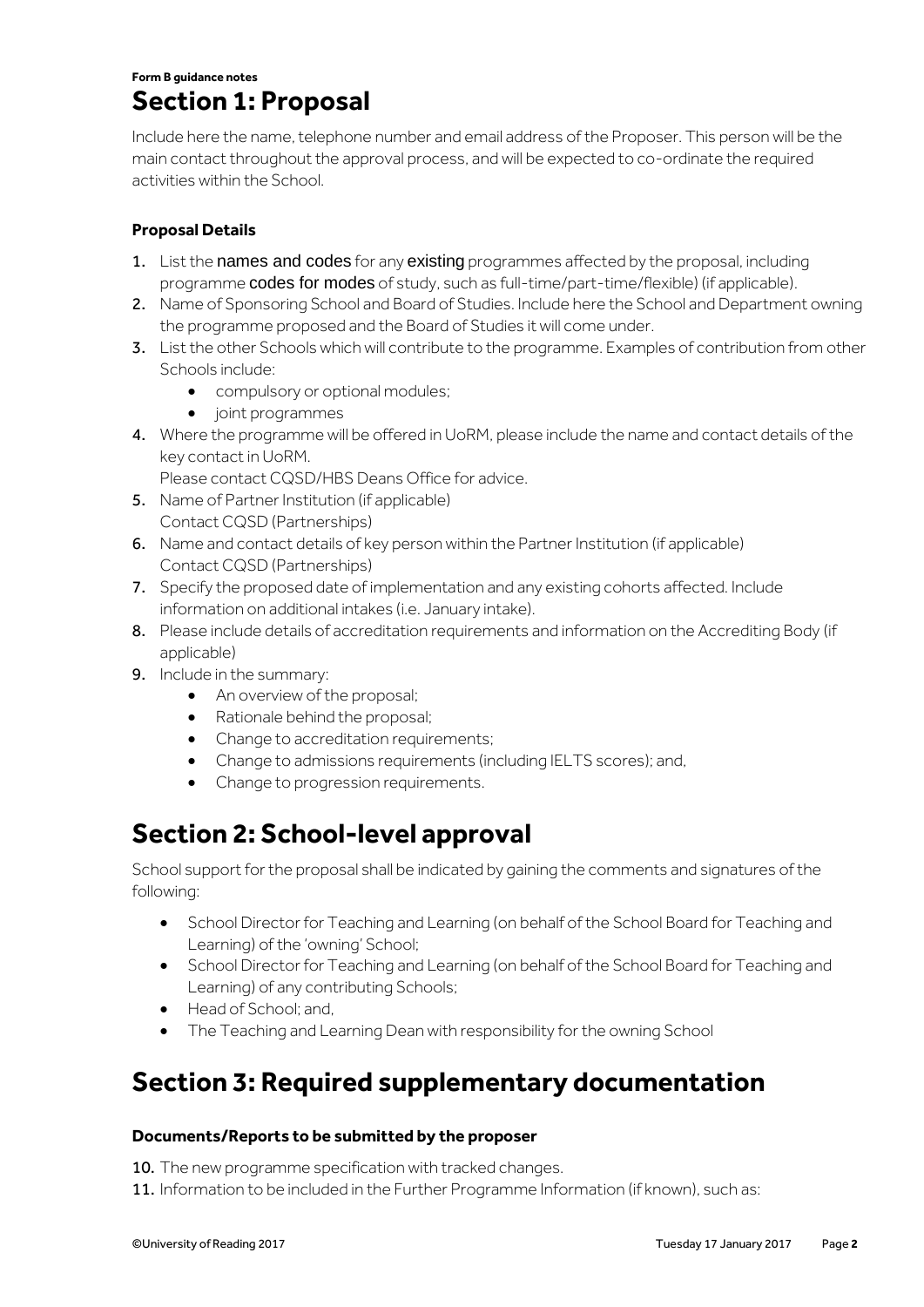#### **Form B guidance notes Section 1: Proposal**

Include here the name, telephone number and email address of the Proposer. This person will be the main contact throughout the approval process, and will be expected to co-ordinate the required activities within the School.

#### **Proposal Details**

- 1. List the names and codes for any existing programmes affected by the proposal, including programme codes for modes of study, such as full-time/part-time/flexible) (if applicable).
- 2. Name of Sponsoring School and Board of Studies. Include here the School and Department owning the programme proposed and the Board of Studies it will come under.
- 3. List the other Schools which will contribute to the programme. Examples of contribution from other Schools include:
	- compulsory or optional modules;
	- joint programmes
- 4. Where the programme will be offered in UoRM, please include the name and contact details of the key contact in UoRM.

Please contact CQSD/HBS Deans Office for advice.

- 5. Name of Partner Institution (if applicable) Contact CQSD (Partnerships)
- 6. Name and contact details of key person within the Partner Institution (if applicable) Contact CQSD (Partnerships)
- 7. Specify the proposed date of implementation and any existing cohorts affected. Include information on additional intakes (i.e. January intake).
- 8. Please include details of accreditation requirements and information on the Accrediting Body (if applicable)
- 9. Include in the summary:
	- An overview of the proposal;
	- Rationale behind the proposal;
	- Change to accreditation requirements;
	- Change to admissions requirements (including IELTS scores); and,
	- Change to progression requirements.

### **Section 2: School-level approval**

School support for the proposal shall be indicated by gaining the comments and signatures of the following:

- School Director for Teaching and Learning (on behalf of the School Board for Teaching and Learning) of the 'owning' School;
- **•** School Director for Teaching and Learning (on behalf of the School Board for Teaching and Learning) of any contributing Schools;
- Head of School; and,
- The Teaching and Learning Dean with responsibility for the owning School

## **Section 3: Required supplementary documentation**

#### **Documents/Reports to be submitted by the proposer**

10. The new programme specification with tracked changes.

11. Information to be included in the Further Programme Information (if known), such as: